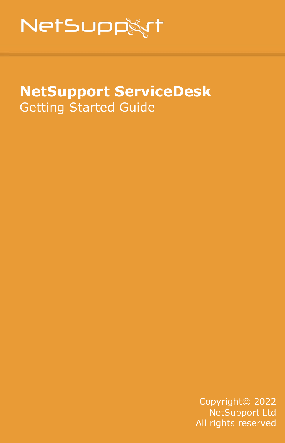# **NetSupp&rt**

# **NetSupport ServiceDesk** Getting Started Guide

Copyright© 2022 NetSupport Ltd All rights reserved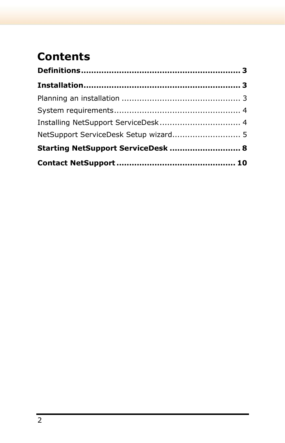# **Contents**

| NetSupport ServiceDesk Setup wizard 5 |  |
|---------------------------------------|--|
| Starting NetSupport ServiceDesk  8    |  |
|                                       |  |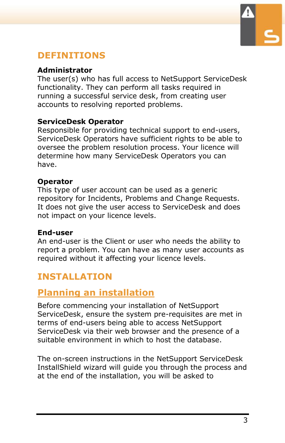

### <span id="page-2-0"></span>**DEFINITIONS**

#### **Administrator**

The user(s) who has full access to NetSupport ServiceDesk functionality. They can perform all tasks required in running a successful service desk, from creating user accounts to resolving reported problems.

#### **ServiceDesk Operator**

Responsible for providing technical support to end-users, ServiceDesk Operators have sufficient rights to be able to oversee the problem resolution process. Your licence will determine how many ServiceDesk Operators you can have.

#### **Operator**

This type of user account can be used as a generic repository for Incidents, Problems and Change Requests. It does not give the user access to ServiceDesk and does not impact on your licence levels.

#### **End-user**

An end-user is the Client or user who needs the ability to report a problem. You can have as many user accounts as required without it affecting your licence levels.

# <span id="page-2-1"></span>**INSTALLATION**

### <span id="page-2-2"></span>**Planning an installation**

Before commencing your installation of NetSupport ServiceDesk, ensure the system pre-requisites are met in terms of end-users being able to access NetSupport ServiceDesk via their web browser and the presence of a suitable environment in which to host the database.

The on-screen instructions in the NetSupport ServiceDesk InstallShield wizard will guide you through the process and at the end of the installation, you will be asked to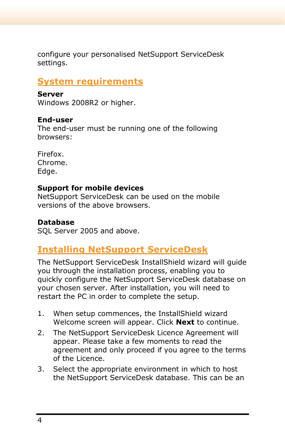configure your personalised NetSupport ServiceDesk settings.

#### <span id="page-3-0"></span>**System requirements**

#### **Server**

Windows 2008R2 or higher.

#### **End-user**

The end-user must be running one of the following browsers:

Firefox. Chrome. Edge.

#### **Support for mobile devices**

NetSupport ServiceDesk can be used on the mobile versions of the above browsers.

#### **Database**

SQL Server 2005 and above.

# <span id="page-3-1"></span>**Installing NetSupport ServiceDesk**

The NetSupport ServiceDesk InstallShield wizard will guide you through the installation process, enabling you to quickly configure the NetSupport ServiceDesk database on your chosen server. After installation, you will need to restart the PC in order to complete the setup.

- 1. When setup commences, the InstallShield wizard Welcome screen will appear. Click **Next** to continue.
- 2. The NetSupport ServiceDesk Licence Agreement will appear. Please take a few moments to read the agreement and only proceed if you agree to the terms of the Licence.
- 3. Select the appropriate environment in which to host the NetSupport ServiceDesk database. This can be an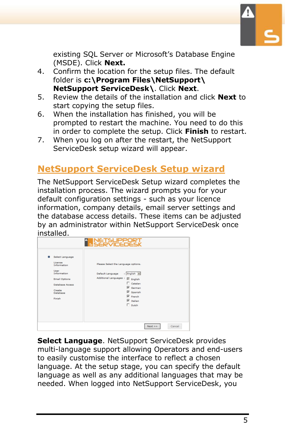

existing SQL Server or Microsoft's Database Engine (MSDE). Click **Next.**

- 4. Confirm the location for the setup files. The default folder is **c:\Program Files\NetSupport\ NetSupport ServiceDesk\**. Click **Next**.
- 5. Review the details of the installation and click **Next** to start copying the setup files.
- 6. When the installation has finished, you will be prompted to restart the machine. You need to do this in order to complete the setup. Click **Finish** to restart.
- 7. When you log on after the restart, the NetSupport ServiceDesk setup wizard will appear.

# <span id="page-4-0"></span>**NetSupport ServiceDesk Setup wizard**

The NetSupport ServiceDesk Setup wizard completes the installation process. The wizard prompts you for your default configuration settings - such as your licence information, company details, email server settings and the database access details. These items can be adjusted by an administrator within NetSupport ServiceDesk once installed.

|                                                                                                                                                  | <b>A NETSUPPORT</b>                                                                                                                                                                                             |
|--------------------------------------------------------------------------------------------------------------------------------------------------|-----------------------------------------------------------------------------------------------------------------------------------------------------------------------------------------------------------------|
| Select Language<br>÷<br>License<br>Information<br>User<br>Information<br><b>Email Options</b><br>Database Access<br>Create<br>Database<br>Finish | Please Select the Language options.<br>: English v<br>Default Language<br>Additional Languages :<br>E English<br>$\Box$ Catalan<br>V German<br><b>Ⅳ</b> Spanish<br>$\nabla$ French<br>V Italian<br>$\Box$ Dutch |
|                                                                                                                                                  | Cancel<br>Next $\geq$                                                                                                                                                                                           |

**Select Language**. NetSupport ServiceDesk provides multi-language support allowing Operators and end-users to easily customise the interface to reflect a chosen language. At the setup stage, you can specify the default language as well as any additional languages that may be needed. When logged into NetSupport ServiceDesk, you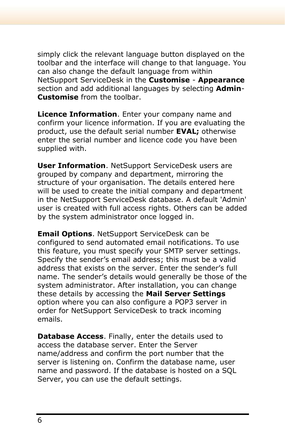simply click the relevant language button displayed on the toolbar and the interface will change to that language. You can also change the default language from within NetSupport ServiceDesk in the **Customise** - **Appearance**  section and add additional languages by selecting **Admin**-**Customise** from the toolbar.

**Licence Information**. Enter your company name and confirm your licence information. If you are evaluating the product, use the default serial number **EVAL;** otherwise enter the serial number and licence code you have been supplied with.

**User Information**. NetSupport ServiceDesk users are grouped by company and department, mirroring the structure of your organisation. The details entered here will be used to create the initial company and department in the NetSupport ServiceDesk database. A default 'Admin' user is created with full access rights. Others can be added by the system administrator once logged in.

**Email Options**. NetSupport ServiceDesk can be configured to send automated email notifications. To use this feature, you must specify your SMTP server settings. Specify the sender's email address; this must be a valid address that exists on the server. Enter the sender's full name. The sender's details would generally be those of the system administrator. After installation, you can change these details by accessing the **Mail Server Settings** option where you can also configure a POP3 server in order for NetSupport ServiceDesk to track incoming emails.

**Database Access**. Finally, enter the details used to access the database server. Enter the Server name/address and confirm the port number that the server is listening on. Confirm the database name, user name and password. If the database is hosted on a SQL Server, you can use the default settings.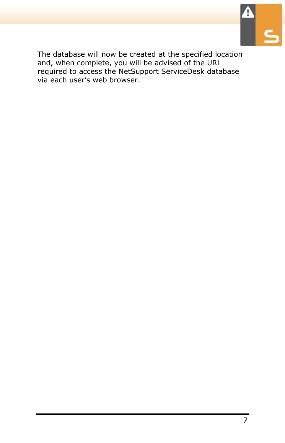

The database will now be created at the specified location and, when complete, you will be advised of the URL required to access the NetSupport ServiceDesk database via each user's web browser.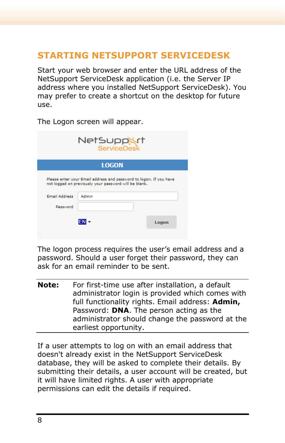# <span id="page-7-0"></span>**STARTING NETSUPPORT SERVICEDESK**

Start your web browser and enter the URL address of the NetSupport ServiceDesk application (i.e. the Server IP address where you installed NetSupport ServiceDesk). You may prefer to create a shortcut on the desktop for future use.

| NetSuppart<br><b>ServiceDesk</b> |                                                                                                                             |       |
|----------------------------------|-----------------------------------------------------------------------------------------------------------------------------|-------|
|                                  | <b>LOGON</b>                                                                                                                |       |
|                                  | Please enter your Email address and password to logon. If you have<br>not logged on previously your password will be blank. |       |
| <b>Email Address</b>             | Admin                                                                                                                       |       |
| Password                         |                                                                                                                             |       |
|                                  |                                                                                                                             | Logon |

The Logon screen will appear.

The logon process requires the user's email address and a password. Should a user forget their password, they can ask for an email reminder to be sent.

**Note:** For first-time use after installation, a default administrator login is provided which comes with full functionality rights. Email address: **Admin,** Password: **DNA**. The person acting as the administrator should change the password at the earliest opportunity.

If a user attempts to log on with an email address that doesn't already exist in the NetSupport ServiceDesk database, they will be asked to complete their details. By submitting their details, a user account will be created, but it will have limited rights. A user with appropriate permissions can edit the details if required.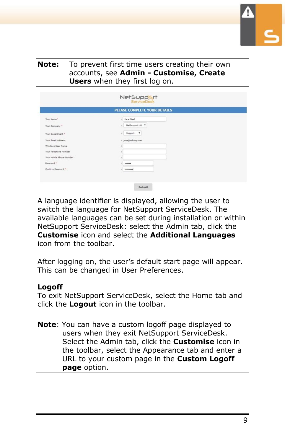

#### **Note:** To prevent first time users creating their own accounts, see **Admin - Customise, Create Users** when they first log on.

| PLEASE COMPLETE YOUR DETAILS |                        |  |
|------------------------------|------------------------|--|
| Your Name?                   | : Sana Neal            |  |
| Your Company                 | NetSupport Ltd Y<br>x. |  |
| Your Department *            | 1 Support V            |  |
| Your Email Address           | 1 jane@nalcorp.com     |  |
| Windows User Name            | ł                      |  |
| Your Telephone Number        |                        |  |
| Your Mobile Phone Number     |                        |  |
| Despuryer !!                 | $-$                    |  |
| Confirm Password             |                        |  |

A language identifier is displayed, allowing the user to switch the language for NetSupport ServiceDesk. The available languages can be set during installation or within NetSupport ServiceDesk: select the Admin tab, click the **Customise** icon and select the **Additional Languages** icon from the toolbar.

After logging on, the user's default start page will appear. This can be changed in User Preferences.

#### **Logoff**

To exit NetSupport ServiceDesk, select the Home tab and click the **Logout** icon in the toolbar.

**Note**: You can have a custom logoff page displayed to users when they exit NetSupport ServiceDesk. Select the Admin tab, click the **Customise** icon in the toolbar, select the Appearance tab and enter a URL to your custom page in the **Custom Logoff page** option.